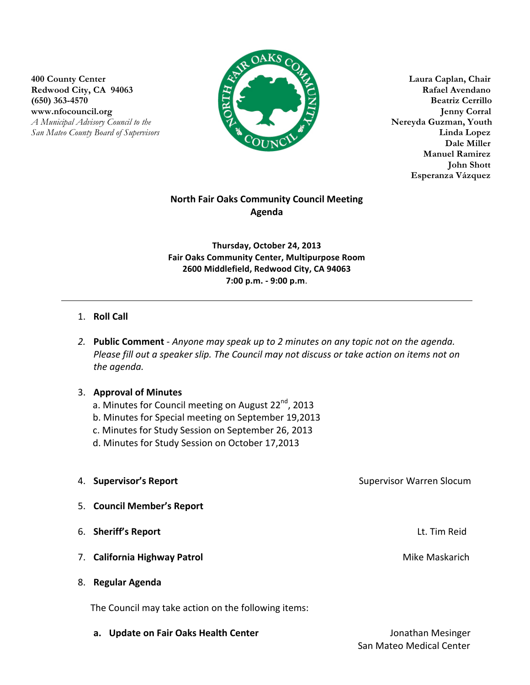**400 County Center Laura Caplan, Chair** Redwood City, CA 94063 **Rafael Avendano (650) 363-4570 Beatriz Cerrillo www.nfocouncil.org Jenny Corral** 





**Manuel Ramirez John Shott** **Esperanza Vázquez**

# **North Fair Oaks Community Council Meeting Agenda**

**Thursday, October 24, 2013 Fair Oaks Community Center, Multipurpose Room 2600 Middlefield, Redwood City, CA 94063 7:00 p.m. - 9:00 p.m**.

## 1. **Roll Call**

2. **Public Comment** - *Anyone may speak up to 2 minutes on any topic not on the agenda.* Please fill out a speaker slip. The Council may not discuss or take action on items not on *the agenda.*

### **3. Approval of Minutes**

- a. Minutes for Council meeting on August 22<sup>nd</sup>, 2013
- b. Minutes for Special meeting on September 19,2013
- c. Minutes for Study Session on September 26, 2013
- d. Minutes for Study Session on October 17,2013

| 4. Supervisor's Report       | <b>Supervisor Warren Slocum</b> |
|------------------------------|---------------------------------|
| 5. Council Member's Report   |                                 |
| 6. Sheriff's Report          | Lt. Tim Reid                    |
| 7. California Highway Patrol | Mike Maskarich                  |
| 8. Regular Agenda            |                                 |

The Council may take action on the following items:

**a. Update on Fair Oaks Health Center** *net also also are also also also beging the structure of the structure of the structure of the structure of the structure of the structure of the structure of the structure of the*